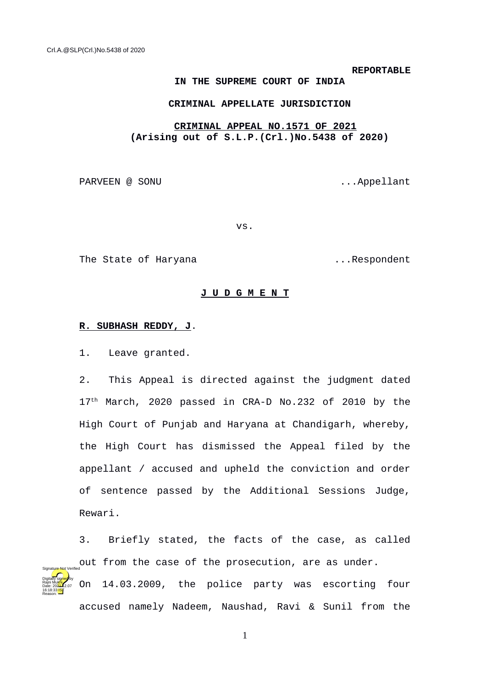#### **REPORTABLE**

#### **IN THE SUPREME COURT OF INDIA**

## **CRIMINAL APPELLATE JURISDICTION**

# **CRIMINAL APPEAL NO.1571 OF 2021 (Arising out of S.L.P.(Crl.)No.5438 of 2020)**

PARVEEN @ SONU ...Appellant

vs.

The State of Haryana ...Respondent

## **J U D G M E N T**

# **R. SUBHASH REDDY, J**.

1. Leave granted.

Rajni Mukhi Date: 2024-12.07 16:18:33<sup>1ST</sup> Reason:

2. This Appeal is directed against the judgment dated 17<sup>th</sup> March, 2020 passed in CRA-D No.232 of 2010 by the High Court of Punjab and Haryana at Chandigarh, whereby, the High Court has dismissed the Appeal filed by the appellant / accused and upheld the conviction and order of sentence passed by the Additional Sessions Judge, Rewari.

3. Briefly stated, the facts of the case, as called out from the case of the prosecution, are as under. On 14.03.2009, the police party was escorting four Digitally signed by Signature Not Verified

accused namely Nadeem, Naushad, Ravi & Sunil from the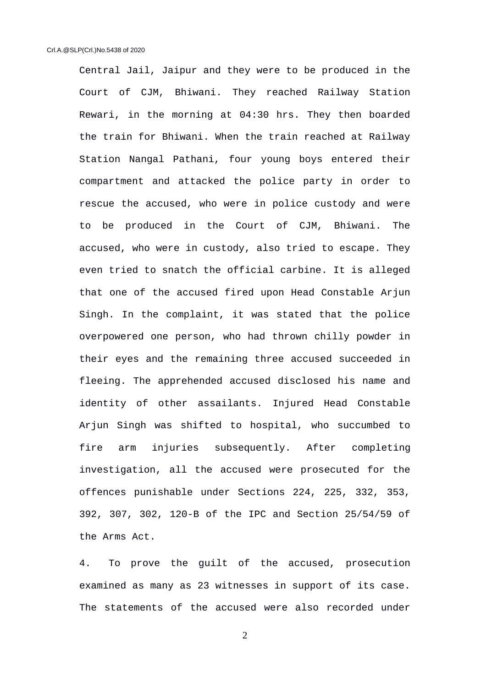Central Jail, Jaipur and they were to be produced in the Court of CJM, Bhiwani. They reached Railway Station Rewari, in the morning at 04:30 hrs. They then boarded the train for Bhiwani. When the train reached at Railway Station Nangal Pathani, four young boys entered their compartment and attacked the police party in order to rescue the accused, who were in police custody and were to be produced in the Court of CJM, Bhiwani. The accused, who were in custody, also tried to escape. They even tried to snatch the official carbine. It is alleged that one of the accused fired upon Head Constable Arjun Singh. In the complaint, it was stated that the police overpowered one person, who had thrown chilly powder in their eyes and the remaining three accused succeeded in fleeing. The apprehended accused disclosed his name and identity of other assailants. Injured Head Constable Arjun Singh was shifted to hospital, who succumbed to fire arm injuries subsequently. After completing investigation, all the accused were prosecuted for the offences punishable under Sections 224, 225, 332, 353, 392, 307, 302, 120-B of the IPC and Section 25/54/59 of the Arms Act.

4. To prove the guilt of the accused, prosecution examined as many as 23 witnesses in support of its case. The statements of the accused were also recorded under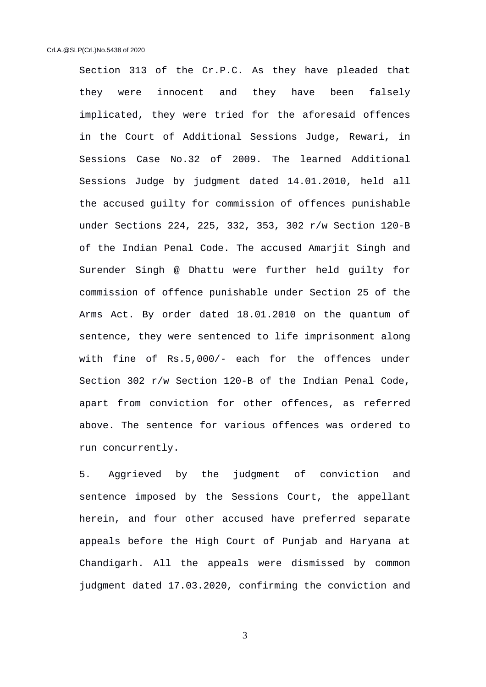Section 313 of the Cr.P.C. As they have pleaded that they were innocent and they have been falsely implicated, they were tried for the aforesaid offences in the Court of Additional Sessions Judge, Rewari, in Sessions Case No.32 of 2009. The learned Additional Sessions Judge by judgment dated 14.01.2010, held all the accused guilty for commission of offences punishable under Sections 224, 225, 332, 353, 302 r/w Section 120-B of the Indian Penal Code. The accused Amarjit Singh and Surender Singh @ Dhattu were further held guilty for commission of offence punishable under Section 25 of the Arms Act. By order dated 18.01.2010 on the quantum of sentence, they were sentenced to life imprisonment along with fine of Rs.5,000/- each for the offences under Section 302 r/w Section 120-B of the Indian Penal Code, apart from conviction for other offences, as referred above. The sentence for various offences was ordered to run concurrently.

5. Aggrieved by the judgment of conviction and sentence imposed by the Sessions Court, the appellant herein, and four other accused have preferred separate appeals before the High Court of Punjab and Haryana at Chandigarh. All the appeals were dismissed by common judgment dated 17.03.2020, confirming the conviction and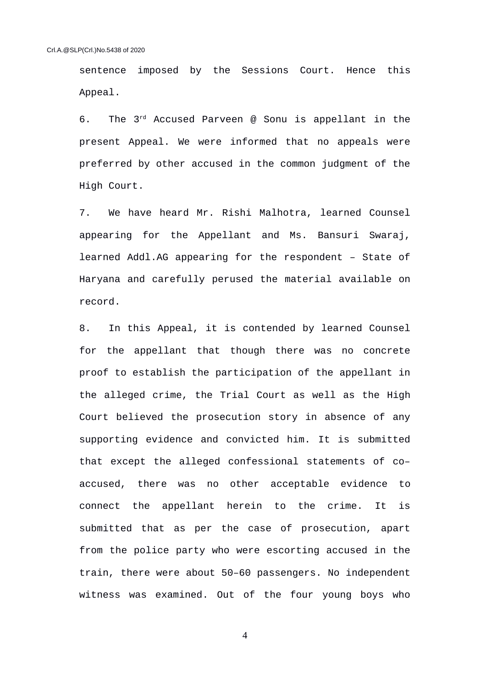sentence imposed by the Sessions Court. Hence this Appeal.

6. The 3rd Accused Parveen @ Sonu is appellant in the present Appeal. We were informed that no appeals were preferred by other accused in the common judgment of the High Court.

7. We have heard Mr. Rishi Malhotra, learned Counsel appearing for the Appellant and Ms. Bansuri Swaraj, learned Addl.AG appearing for the respondent – State of Haryana and carefully perused the material available on record.

8. In this Appeal, it is contended by learned Counsel for the appellant that though there was no concrete proof to establish the participation of the appellant in the alleged crime, the Trial Court as well as the High Court believed the prosecution story in absence of any supporting evidence and convicted him. It is submitted that except the alleged confessional statements of co– accused, there was no other acceptable evidence to connect the appellant herein to the crime. It is submitted that as per the case of prosecution, apart from the police party who were escorting accused in the train, there were about 50–60 passengers. No independent witness was examined. Out of the four young boys who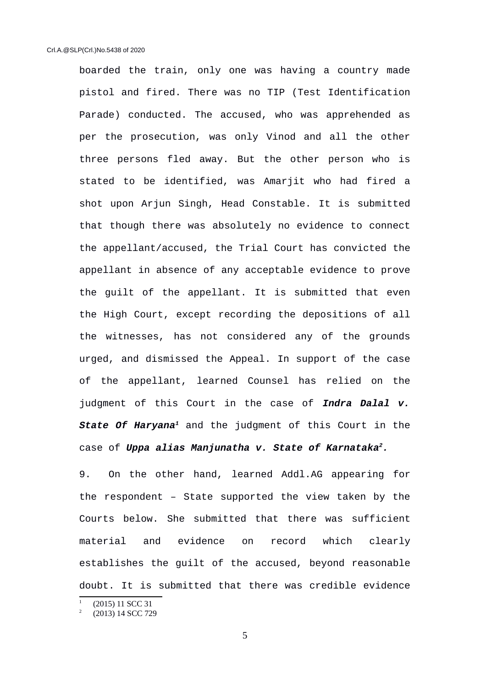boarded the train, only one was having a country made pistol and fired. There was no TIP (Test Identification Parade) conducted. The accused, who was apprehended as per the prosecution, was only Vinod and all the other three persons fled away. But the other person who is stated to be identified, was Amarjit who had fired a shot upon Arjun Singh, Head Constable. It is submitted that though there was absolutely no evidence to connect the appellant/accused, the Trial Court has convicted the appellant in absence of any acceptable evidence to prove the guilt of the appellant. It is submitted that even the High Court, except recording the depositions of all the witnesses, has not considered any of the grounds urged, and dismissed the Appeal. In support of the case of the appellant, learned Counsel has relied on the judgment of this Court in the case of *Indra Dalal v. State Of Haryana[1](#page-4-0)* and the judgment of this Court in the case of *Uppa alias Manjunatha v. State of Karnataka[2](#page-4-1).*

9. On the other hand, learned Addl.AG appearing for the respondent – State supported the view taken by the Courts below. She submitted that there was sufficient material and evidence on record which clearly establishes the guilt of the accused, beyond reasonable doubt. It is submitted that there was credible evidence

<span id="page-4-0"></span><sup>1</sup> (2015) 11 SCC 31

<span id="page-4-1"></span><sup>2</sup> (2013) 14 SCC 729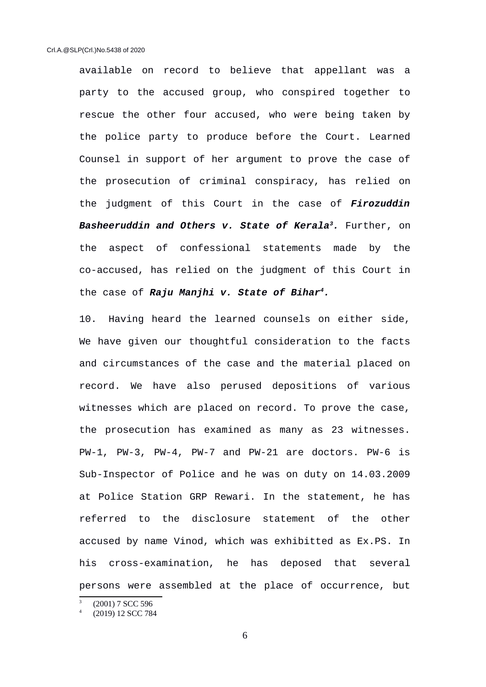available on record to believe that appellant was a party to the accused group, who conspired together to rescue the other four accused, who were being taken by the police party to produce before the Court. Learned Counsel in support of her argument to prove the case of the prosecution of criminal conspiracy, has relied on the judgment of this Court in the case of *Firozuddin Basheeruddin and Others v. State of Kerala[3](#page-5-0).* Further, on the aspect of confessional statements made by the co-accused, has relied on the judgment of this Court in the case of *Raju Manjhi v. State of Bihar[4](#page-5-1).*

10. Having heard the learned counsels on either side, We have given our thoughtful consideration to the facts and circumstances of the case and the material placed on record. We have also perused depositions of various witnesses which are placed on record. To prove the case, the prosecution has examined as many as 23 witnesses. PW-1, PW-3, PW-4, PW-7 and PW-21 are doctors. PW-6 is Sub-Inspector of Police and he was on duty on 14.03.2009 at Police Station GRP Rewari. In the statement, he has referred to the disclosure statement of the other accused by name Vinod, which was exhibitted as Ex.PS. In his cross-examination, he has deposed that several persons were assembled at the place of occurrence, but

<span id="page-5-0"></span><sup>3</sup> (2001) 7 SCC 596

<span id="page-5-1"></span><sup>4</sup> (2019) 12 SCC 784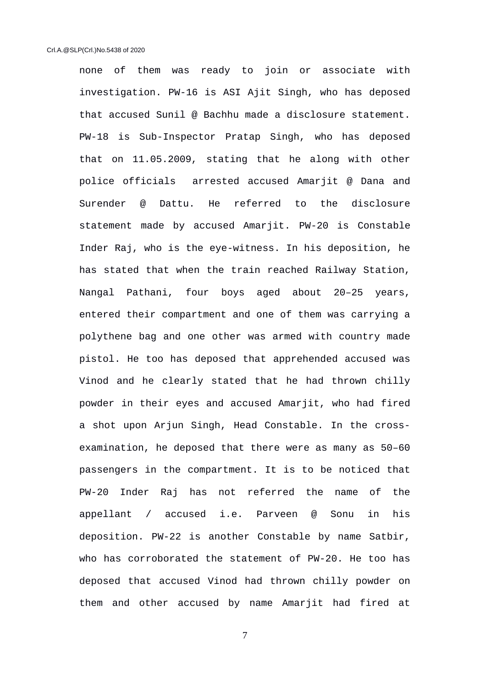none of them was ready to join or associate with investigation. PW-16 is ASI Ajit Singh, who has deposed that accused Sunil @ Bachhu made a disclosure statement. PW-18 is Sub-Inspector Pratap Singh, who has deposed that on 11.05.2009, stating that he along with other police officials arrested accused Amarjit @ Dana and Surender @ Dattu. He referred to the disclosure statement made by accused Amarjit. PW-20 is Constable Inder Raj, who is the eye-witness. In his deposition, he has stated that when the train reached Railway Station, Nangal Pathani, four boys aged about 20–25 years, entered their compartment and one of them was carrying a polythene bag and one other was armed with country made pistol. He too has deposed that apprehended accused was Vinod and he clearly stated that he had thrown chilly powder in their eyes and accused Amarjit, who had fired a shot upon Arjun Singh, Head Constable. In the crossexamination, he deposed that there were as many as 50–60 passengers in the compartment. It is to be noticed that PW-20 Inder Raj has not referred the name of the appellant / accused i.e. Parveen @ Sonu in his deposition. PW-22 is another Constable by name Satbir, who has corroborated the statement of PW-20. He too has deposed that accused Vinod had thrown chilly powder on them and other accused by name Amarjit had fired at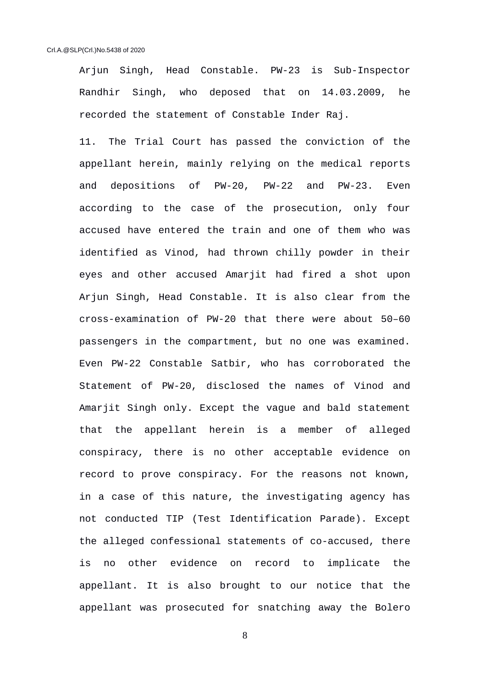Arjun Singh, Head Constable. PW-23 is Sub-Inspector Randhir Singh, who deposed that on 14.03.2009, he recorded the statement of Constable Inder Raj.

11. The Trial Court has passed the conviction of the appellant herein, mainly relying on the medical reports and depositions of PW-20, PW-22 and PW-23. Even according to the case of the prosecution, only four accused have entered the train and one of them who was identified as Vinod, had thrown chilly powder in their eyes and other accused Amarjit had fired a shot upon Arjun Singh, Head Constable. It is also clear from the cross-examination of PW-20 that there were about 50–60 passengers in the compartment, but no one was examined. Even PW-22 Constable Satbir, who has corroborated the Statement of PW-20, disclosed the names of Vinod and Amarjit Singh only. Except the vague and bald statement that the appellant herein is a member of alleged conspiracy, there is no other acceptable evidence on record to prove conspiracy. For the reasons not known, in a case of this nature, the investigating agency has not conducted TIP (Test Identification Parade). Except the alleged confessional statements of co-accused, there is no other evidence on record to implicate the appellant. It is also brought to our notice that the appellant was prosecuted for snatching away the Bolero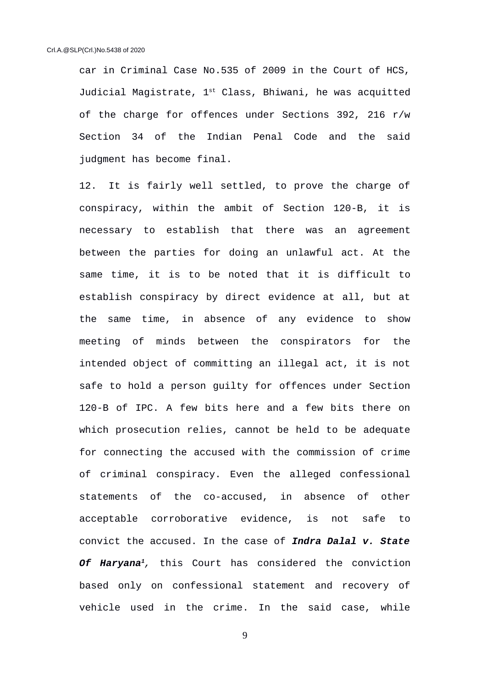car in Criminal Case No.535 of 2009 in the Court of HCS, Judicial Magistrate,  $1^{st}$  Class, Bhiwani, he was acquitted of the charge for offences under Sections 392, 216 r/w Section 34 of the Indian Penal Code and the said judgment has become final.

12. It is fairly well settled, to prove the charge of conspiracy, within the ambit of Section 120-B, it is necessary to establish that there was an agreement between the parties for doing an unlawful act. At the same time, it is to be noted that it is difficult to establish conspiracy by direct evidence at all, but at the same time, in absence of any evidence to show meeting of minds between the conspirators for the intended object of committing an illegal act, it is not safe to hold a person guilty for offences under Section 120-B of IPC. A few bits here and a few bits there on which prosecution relies, cannot be held to be adequate for connecting the accused with the commission of crime of criminal conspiracy. Even the alleged confessional statements of the co-accused, in absence of other acceptable corroborative evidence, is not safe to convict the accused. In the case of *Indra Dalal v. State Of Haryana<sup>1</sup>,* this Court has considered the conviction based only on confessional statement and recovery of vehicle used in the crime. In the said case, while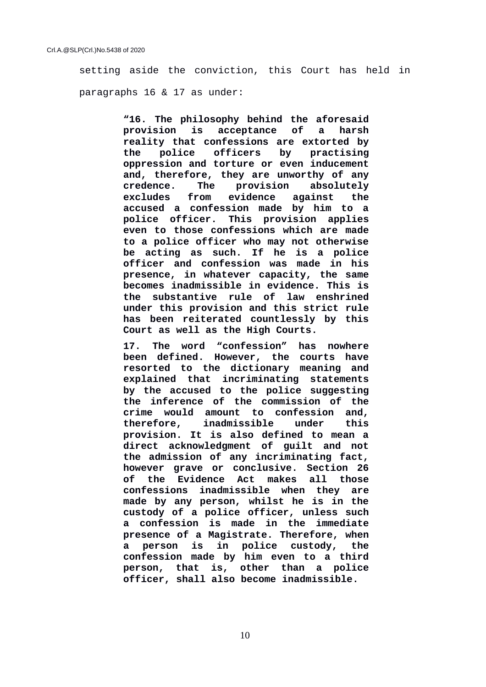setting aside the conviction, this Court has held in paragraphs 16 & 17 as under:

> **"16. The philosophy behind the aforesaid provision is acceptance of a harsh reality that confessions are extorted by the police officers by practising oppression and torture or even inducement and, therefore, they are unworthy of any credence. The provision absolutely excludes from evidence against the accused a confession made by him to a police officer. This provision applies even to those confessions which are made to a police officer who may not otherwise be acting as such. If he is a police officer and confession was made in his presence, in whatever capacity, the same becomes inadmissible in evidence. This is the substantive rule of law enshrined under this provision and this strict rule has been reiterated countlessly by this Court as well as the High Courts.**

> **17. The word "confession" has nowhere been defined. However, the courts have resorted to the dictionary meaning and explained that incriminating statements by the accused to the police suggesting the inference of the commission of the crime would amount to confession and, therefore, inadmissible under this provision. It is also defined to mean a direct acknowledgment of guilt and not the admission of any incriminating fact, however grave or conclusive. Section 26 of the Evidence Act makes all those confessions inadmissible when they are made by any person, whilst he is in the custody of a police officer, unless such a confession is made in the immediate presence of a Magistrate. Therefore, when a person is in police custody, the confession made by him even to a third person, that is, other than a police officer, shall also become inadmissible.**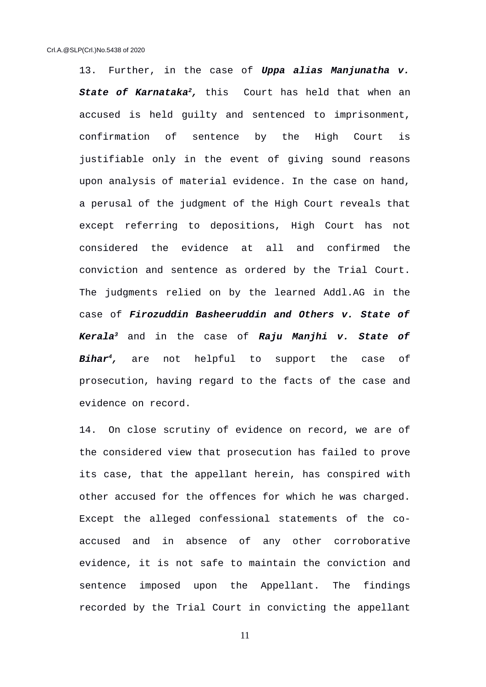13. Further, in the case of *Uppa alias Manjunatha v. State of Karnataka<sup>2</sup>,* this Court has held that when an accused is held guilty and sentenced to imprisonment, confirmation of sentence by the High Court is justifiable only in the event of giving sound reasons upon analysis of material evidence. In the case on hand, a perusal of the judgment of the High Court reveals that except referring to depositions, High Court has not considered the evidence at all and confirmed the conviction and sentence as ordered by the Trial Court. The judgments relied on by the learned Addl.AG in the case of *Firozuddin Basheeruddin and Others v. State of Kerala<sup>3</sup>* and in the case of *Raju Manjhi v. State of Bihar<sup>4</sup>,* are not helpful to support the case of prosecution, having regard to the facts of the case and evidence on record.

14. On close scrutiny of evidence on record, we are of the considered view that prosecution has failed to prove its case, that the appellant herein, has conspired with other accused for the offences for which he was charged. Except the alleged confessional statements of the coaccused and in absence of any other corroborative evidence, it is not safe to maintain the conviction and sentence imposed upon the Appellant. The findings recorded by the Trial Court in convicting the appellant